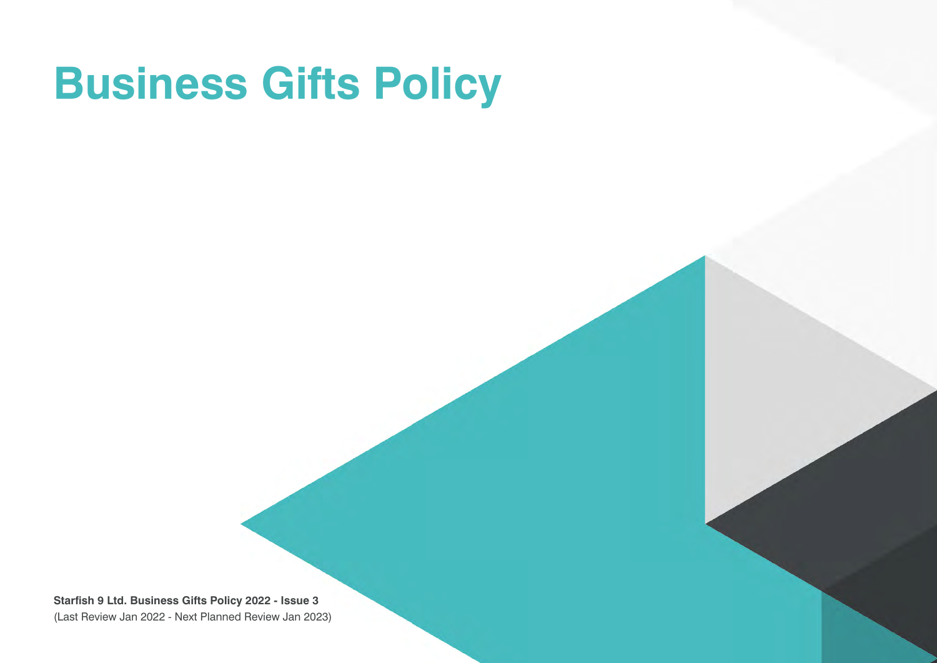# **Business Gifts Policy**

**Starfish 9 Ltd. Business Gifts Policy 2022 - Issue 3** (Last Review Jan 2022 - Next Planned Review Jan 2023)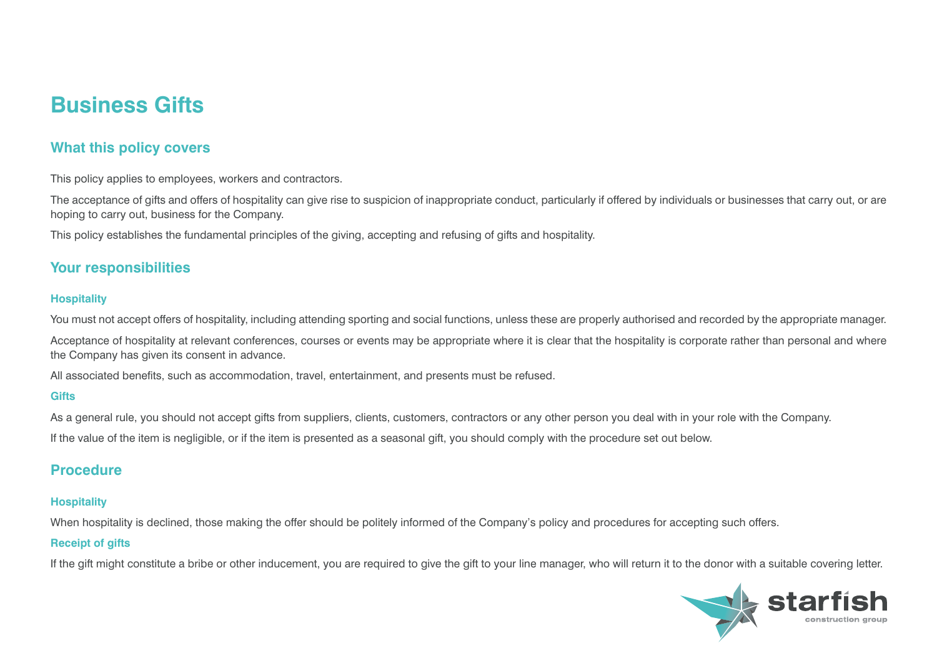# **Business Gifts**

## **What this policy covers**

This policy applies to employees, workers and contractors.

The acceptance of gifts and offers of hospitality can give rise to suspicion of inappropriate conduct, particularly if offered by individuals or businesses that carry out, or are hoping to carry out, business for the Company.

This policy establishes the fundamental principles of the giving, accepting and refusing of gifts and hospitality.

### **Your responsibilities**

#### **Hospitality**

You must not accept offers of hospitality, including attending sporting and social functions, unless these are properly authorised and recorded by the appropriate manager.

Acceptance of hospitality at relevant conferences, courses or events may be appropriate where it is clear that the hospitality is corporate rather than personal and where the Company has given its consent in advance.

All associated benefits, such as accommodation, travel, entertainment, and presents must be refused.

#### **Gifts**

As a general rule, you should not accept gifts from suppliers, clients, customers, contractors or any other person you deal with in your role with the Company.

If the value of the item is negligible, or if the item is presented as a seasonal gift, you should comply with the procedure set out below.

# **Procedure**

#### **Hospitality**

When hospitality is declined, those making the offer should be politely informed of the Company's policy and procedures for accepting such offers.

#### **Receipt of gifts**

If the gift might constitute a bribe or other inducement, you are required to give the gift to your line manager, who will return it to the donor with a suitable covering letter.